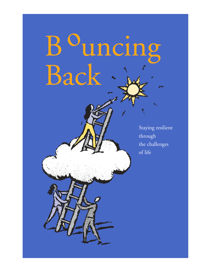# B<sup>o</sup>uncing<br>Back

Staying resilient through the challenges of life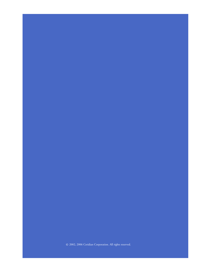© 2002, 2006 Ceridian Corporation. All rights reserved.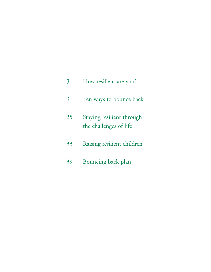| $\mathcal{E}$  | How resilient are you?                              |
|----------------|-----------------------------------------------------|
| $\overline{Q}$ | Ten ways to bounce back                             |
| 25             | Staying resilient through<br>the challenges of life |
| 33             | Raising resilient children                          |
| 39             | Bouncing back plan                                  |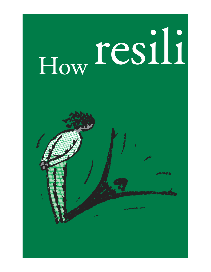

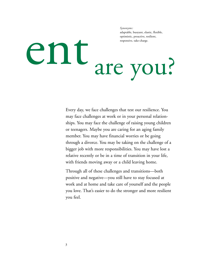*Synonyms:* adaptable, buoyant, elastic, flexible, optimistic, proactive, resilient, responsive, take-charge.

# Synonyms:<br>
adaptable, buoyant, elastic, flexible,<br>
optimistic, proactive, resilient,<br>
responsive, take-charge.<br>
are you!

Every day, we face challenges that test our resilience. You may face challenges at work or in your personal relationships. You may face the challenge of raising young children or teenagers. Maybe you are caring for an aging family member. You may have financial worries or be going through a divorce. You may be taking on the challenge of a bigger job with more responsibilities. You may have lost a relative recently or be in a time of transition in your life, with friends moving away or a child leaving home.

Through all of these challenges and transitions—both positive and negative—you still have to stay focused at work and at home and take care of yourself and the people you love. That's easier to do the stronger and more resilient you feel.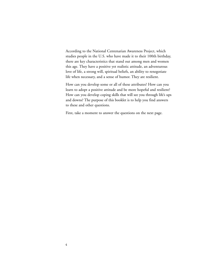According to the National Centenarian Awareness Project, which studies people in the U.S. who have made it to their 100th birthday, there are key characteristics that stand out among men and women this age. They have a positive yet realistic attitude, an adventurous love of life, a strong will, spiritual beliefs, an ability to renegotiate life when necessary, and a sense of humor. They are resilient.

How can you develop some or all of these attributes? How can you learn to adopt a positive attitude and be more hopeful and resilient? How can you develop coping skills that will see you through life's ups and downs? The purpose of this booklet is to help you find answers to these and other questions.

First, take a moment to answer the questions on the next page.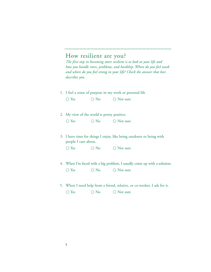#### How resilient are you?

*The first step in becoming more resilient is to look at your life and how you handle stress, problems, and hardship. Where do you feel weak and where do you feel strong in your life? Check the answer that best describes you.* 

1. I feel a sense of purpose in my work or personal life

| $\bigcirc$ Yes | $\bigcirc$ No | $\bigcirc$ Not sure |
|----------------|---------------|---------------------|
|                |               |                     |

2. My view of the world is pretty positive.

| $\bigcirc$ Yes | $\bigcirc$ No | $\bigcirc$ Not sure |
|----------------|---------------|---------------------|
|                |               |                     |

3. I have time for things I enjoy, like being outdoors or being with people I care about.

 $\bigcirc$  Yes  $\bigcirc$  No  $\bigcirc$  Not sure

- When I'm faced with a big problem, I usually come up with a solution. 4.  $\bigcirc$  Yes  $\bigcirc$  No  $\bigcirc$  Not sure
- When I need help from a friend, relative, or co-worker, I ask for it. 5. $\bigcirc$  Yes  $\bigcirc$  No  $\bigcirc$  Not sure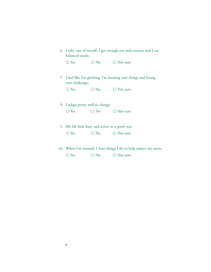|    | 6. I take care of myself. I get enough rest and exercise and I eat<br>balanced meals. |               |                                                                     |  |  |
|----|---------------------------------------------------------------------------------------|---------------|---------------------------------------------------------------------|--|--|
|    | $\bigcirc$ Yes                                                                        | $\supset$ No  | $\bigcirc$ Not sure                                                 |  |  |
|    | new challenges.                                                                       |               | 7. I feel like I'm growing. I'm learning new things and facing      |  |  |
|    | $\bigcirc$ Yes                                                                        | $\bigcirc$ No | $\bigcirc$ Not sure                                                 |  |  |
|    | 8. I adapt pretty well to change.                                                     |               |                                                                     |  |  |
|    | $\bigcirc$ Yes                                                                        | $\bigcirc$ No | $\bigcirc$ Not sure                                                 |  |  |
| 9. | My life feels busy and active in a good way.                                          |               |                                                                     |  |  |
|    | $\bigcirc$ Yes                                                                        | $\bigcirc$ No | $\bigcirc$ Not sure                                                 |  |  |
|    |                                                                                       |               | 10. When I'm stressed, I have things I do to help reduce my stress. |  |  |

 $Yes \t O No \t O Not sure$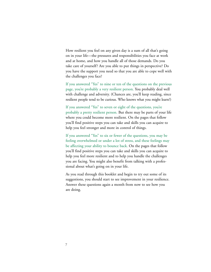How resilient you feel on any given day is a sum of all that's going on in your life—the pressures and responsibilities you face at work and at home, and how you handle all of those demands. Do you take care of yourself? Are you able to put things in perspective? Do you have the support you need so that you are able to cope well with the challenges you face?

If you answered "Yes" to nine or ten of the questions on the previous page, you're probably a very resilient person. You probably deal well with challenge and adversity. (Chances are, you'll keep reading, since resilient people tend to be curious. Who knows what you might learn?)

If you answered "Yes" to seven or eight of the questions, you're probably a pretty resilient person. But there may be parts of your life where you could become more resilient. On the pages that follow you'll find positive steps you can take and skills you can acquire to help you feel stronger and more in control of things.

If you answered "Yes" to six or fewer of the questions, you may be feeling overwhelmed or under a lot of stress, and these feelings may be affecting your ability to bounce back. On the pages that follow you'll find positive steps you can take and skills you can acquire to help you feel more resilient and to help you handle the challenges you are facing. You might also benefit from talking with a professional about what's going on in your life.

As you read through this booklet and begin to try out some of its suggestions, you should start to see improvement in your resilience. Answer these questions again a month from now to see how you are doing.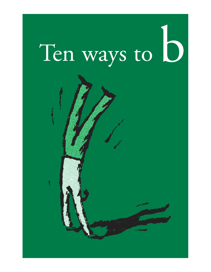# Ten ways to D

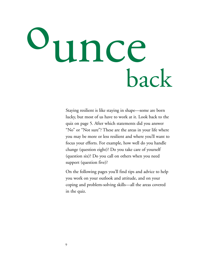# <sup>o</sup>unce back

Staying resilient is like staying in shape—some are born lucky, but most of us have to work at it. Look back to the quiz on page 5. After which statements did you answer "No" or "Not sure"? These are the areas in your life where you may be more or less resilient and where you'll want to focus your efforts. For example, how well do you handle change (question eight)? Do you take care of yourself (question six)? Do you call on others when you need support (question five)?

On the following pages you'll find tips and advice to help you work on your outlook and attitude, and on your coping and problem-solving skills—all the areas covered in the quiz.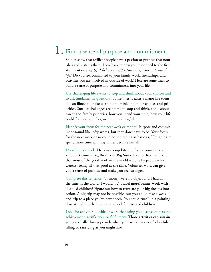## 1. Find a sense of purpose and commitment.

Studies show that resilient people have a passion or purpose that nourishes and sustains them. Look back to how you responded to the first statement on page 5, *"I feel a sense of purpose in my work or personal life."* Do you feel committed to your family, work, friendships, and activities you are involved in outside of work? Here are some ways to build a sense of purpose and commitment into your life:

Use challenging life events to stop and think about your choices and to ask fundamental questions. Sometimes it takes a major life event like an illness to make us stop and think about our choices and priorities. Smaller challenges are a time to stop and think, too—about career and family priorities, how you spend your time, how your life could feel better, richer, or more meaningful.

Identify your focus for the next week or month. Purpose and commitment sound like lofty words, but they don't have to be. Your focus for the next week or so could be something as basic as, "I'm going to spend more time with my father because he's ill."

Do volunteer work. Help in a soup kitchen. Join a committee at school. Become a Big Brother or Big Sister. Eleanor Roosevelt said that most of the good work in the world is done by people who weren't feeling all that good at the time. Volunteer work can give you a sense of purpose and make you feel stronger.

Complete this sentence: "If money were no object and I had all the time in the world, I would . . ." Travel more? Paint? Work with disabled children? Figure out how to translate your big dreams into action. A big trip may not be possible, but you could take a weekend trip to a place you've never been. You could enroll in a painting class at night, or help out at a school for disabled children.

Look for activities outside of work that bring you a sense of personal achievement, satisfaction, or fulfillment. Those activities can sustain you, especially during periods when your work may not feel as fulfilling or satisfying as you might like.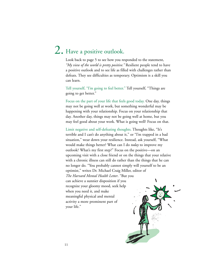## 2. Have a positive outlook.

Look back to page 5 to see how you responded to the statement, *"My view of the world is pretty positive."* Resilient people tend to have a positive outlook and to see life as filled with challenges rather than defeats. They see difficulties as temporary. Optimism is a skill you can learn.

Tell yourself, "I'm going to feel better." Tell yourself, "Things are going to get better."

Focus on the part of your life that feels good today. One day, things may not be going well at work, but something wonderful may be happening with your relationship. Focus on your relationship that day. Another day, things may not be going well at home, but you may feel good about your work. What is going well? Focus on that.

Limit negative and self-defeating thoughts. Thoughts like, "It's terrible and I can't do anything about it," or "I'm trapped in a bad situation," wear down your resilience. Instead, ask yourself, "What would make things better? What can I do *today* to improve my outlook? What's my first step?" Focus on the positive—on an upcoming visit with a close friend or on the things that your relative with a chronic illness can still do rather than the things that he can no longer do. "You probably cannot simply will yourself to be an optimist," writes Dr. Michael Craig Miller, editor of *The Harvard Mental Health Letter*. "But you can achieve a sunnier disposition if you recognize your gloomy mood, seek help when you need it, and make meaningful physical and mental activity a more prominent part of your life."

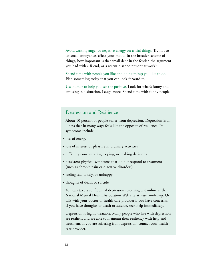Avoid wasting anger or negative energy on trivial things. Try not to let small annoyances affect your mood. In the broader scheme of things, how important is that small dent in the fender, the argument you had with a friend, or a recent disappointment at work?

Spend time with people you like and doing things you like to do. Plan something today that you can look forward to.

Use humor to help you see the positive. Look for what's funny and amusing in a situation. Laugh more. Spend time with funny people.

#### Depression and Resilience

About 10 percent of people suffer from depression. Depression is an illness that in many ways feels like the opposite of resilience. Its symptoms include:

- loss of energy
- loss of interest or pleasure in ordinary activities
- difficulty concentrating, coping, or making decisions
- persistent physical symptoms that do not respond to treatment (such as chronic pain or digestive disorders)
- feeling sad, lonely, or unhappy
- thoughts of death or suicide

You can take a confidential depression screening test online at the National Mental Health Association Web site at *www.nmha.org*. Or talk with your doctor or health care provider if you have concerns. If you have thoughts of death or suicide, seek help immediately.

Depression is highly treatable. Many people who live with depression are resilient and are able to maintain their resiliency with help and treatment. If you are suffering from depression, contact your health care provider.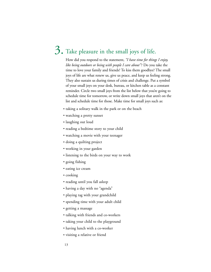## $3.$  Take pleasure in the small joys of life.

How did you respond to the statement, *"I have time for things I enjoy, like being outdoors or being with people I care about"*? Do you take the time to love your family and friends? To kiss them goodbye? The small joys of life are what renew us, give us peace, and keep us feeling strong. They also sustain us during times of crisis and challenge. Put a symbol of your small joys on your desk, bureau, or kitchen table as a constant reminder. Circle two small joys from the list below that you're going to schedule time for tomorrow, or write down small joys that aren't on the list and schedule time for those. Make time for small joys such as:

- taking a solitary walk in the park or on the beach
- watching a pretty sunset
- laughing out loud
- reading a bedtime story to your child
- watching a movie with your teenager
- doing a quilting project
- working in your garden
- listening to the birds on your way to work
- going fishing
- eating ice cream
- cooking
- reading until you fall asleep
- having a day with no "agenda"
- playing tag with your grandchild
- spending time with your adult child
- getting a massage
- talking with friends and co-workers
- taking your child to the playground
- having lunch with a co-worker
- visiting a relative or friend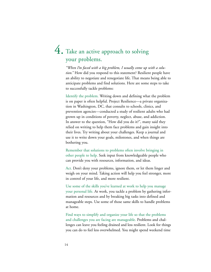#### $4.$  Take an active approach to solving your problems.

*"When I'm faced with a big problem, I usually come up with a solution."* How did you respond to this statement? Resilient people have an ability to negotiate and renegotiate life. That means being able to anticipate problems and find solutions. Here are some steps to take to successfully tackle problems:

Identify the problem. Writing down and defining what the problem is on paper is often helpful. Project Resilience—a private organization in Washington, DC, that consults to schools, clinics, and prevention agencies—conducted a study of resilient adults who had grown up in conditions of poverty, neglect, abuse, and addiction. In answer to the question, "How did you do it?", many said they relied on writing to help them face problems and gain insight into their lives. Try writing about your challenges. Keep a journal and use it to write down your goals, milestones, and when things are bothering you.

Remember that solutions to problems often involve bringing in other people to help. Seek input from knowledgeable people who can provide you with resources, information, and ideas.

Act. Don't deny your problems, ignore them, or let them linger and weigh on your mind. Taking action will help you feel stronger, more in control of your life, and more resilient.

Use some of the skills you've learned at work to help you manage your personal life. At work, you tackle a problem by gathering information and resources and by breaking big tasks into defined and manageable steps. Use some of those same skills to handle problems at home.

Find ways to simplify and organize your life so that the problems and challenges you are facing are manageable. Problems and challenges can leave you feeling drained and less resilient. Look for things you can do to feel less overwhelmed. You might spend weekend time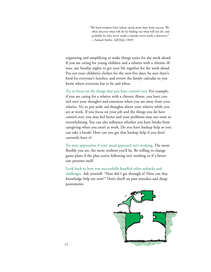"We learn wisdom from failure much more than from success. We often discover what will do by finding out what will not do; and probably he who never made a mistake never made a discovery." *—*Samuel Smiles*, Self-Help (1849)*

organizing and simplifying to make things easier for the week ahead. If you are caring for young children and a relative with a chronic illness, use Sunday nights to get your life together for the week ahead. Put out your children's clothes for the next five days, be sure there's food for everyone's lunches, and review the family calendar so you know where everyone has to be and when.

Try to focus on the things that you have control over. For example, if you are caring for a relative with a chronic illness, you have control over your thoughts and emotions when you are away from your relative. Try to put aside sad thoughts about your relative while you are at work. If you focus on your job and the things you do have control over, you may feel better and your problems may not seem so overwhelming. You can also influence whether you have breaks from caregiving when you aren't at work. Do you have backup help so you can take a break? How can you get that backup help if you don't currently have it?

Try new approaches if your usual approach isn't working. The more flexible you are, the more resilient you'll be. Be willing to change game plans if the plan you're following isn't working or if a better one presents itself.

Look back to how you successfully handled other setbacks and challenges. Ask yourself, "How did I get through it? How can that knowledge help me now?" Don't dwell on past mistakes and disappointments.

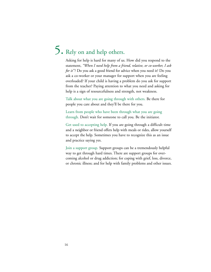## 5. Rely on and help others.

Asking for help is hard for many of us. How did you respond to the statement, *"When I need help from a friend, relative, or co-worker, I ask for it"*? Do you ask a good friend for advice when you need it? Do you ask a co-worker or your manager for support when you are feeling overloaded? If your child is having a problem do you ask for support from the teacher? Paying attention to what you need and asking for help is a sign of resourcefulness and strength, not weakness.

Talk about what you are going through with others. Be there for people you care about and they'll be there for you.

Learn from people who have been through what you are going through. Don't wait for someone to call you. Be the initiator.

Get used to accepting help. If you are going through a difficult time and a neighbor or friend offers help with meals or rides, allow yourself to accept the help. Sometimes you have to recognize this as an issue and practice saying yes.

Join a support group. Support groups can be a tremendously helpful way to get through hard times. There are support groups for overcoming alcohol or drug addiction; for coping with grief, loss, divorce, or chronic illness; and for help with family problems and other issues.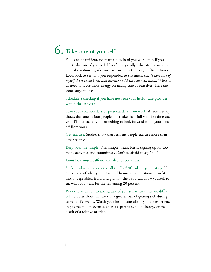## $6.$  Take care of yourself.

You can't be resilient, no matter how hard you work at it, if you don't take care of yourself. If you're physically exhausted or overextended emotionally, it's twice as hard to get through difficult times. Look back to see how you responded to statement six: *"I take care of myself. I get enough rest and exercise and I eat balanced meals."* Most of us need to focus more energy on taking care of ourselves. Here are some suggestions:

Schedule a checkup if you have not seen your health care provider within the last year.

Take your vacation days or personal days from work. A recent study shows that one in four people don't take their full vacation time each year. Plan an activity or something to look forward to on your time off from work.

Get exercise. Studies show that resilient people exercise more than other people.

Keep your life simple. Plan simple meals. Resist signing up for too many activities and committees. Don't be afraid to say "no."

Limit how much caffeine and alcohol you drink.

Stick to what some experts call the "80/20" rule in your eating. If 80 percent of what you eat is healthy—with a nutritious, low-fat mix of vegetables, fruit, and grains—then you can allow yourself to eat what you want for the remaining 20 percent.

Pay extra attention to taking care of yourself when times are difficult. Studies show that we run a greater risk of getting sick during stressful life events. Watch your health carefully if you are experiencing a stressful life event such as a separation, a job change, or the death of a relative or friend.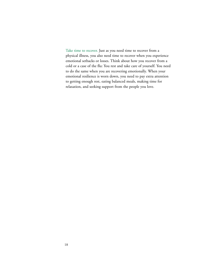Take time to recover. Just as you need time to recover from a physical illness, you also need time to recover when you experience emotional setbacks or losses. Think about how you recover from a cold or a case of the flu: You rest and take care of yourself. You need to do the same when you are recovering emotionally. When your emotional resilience is worn down, you need to pay extra attention to getting enough rest, eating balanced meals, making time for relaxation, and seeking support from the people you love.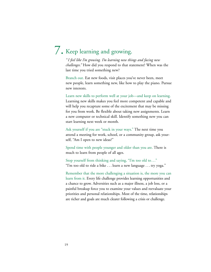## 7. Keep learning and growing.

*" I feel like I'm growing. I'm learning new things and facing new challenges."* How did you respond to that statement? When was the last time you tried something new?

Branch out. Eat new foods, visit places you've never been, meet new people, learn something new, like how to play the piano. Pursue new interests.

Learn new skills to perform well at your job—and keep on learning. Learning new skills makes you feel more competent and capable and will help you recapture some of the excitement that may be missing for you from work. Be flexible about taking new assignments. Learn a new computer or technical skill. Identify something new you can start learning next week or month.

Ask yourself if you are "stuck in your ways." The next time you attend a meeting for work, school, or a community group, ask yourself, "Am I open to new ideas?"

Spend time with people younger and older than you are. There is much to learn from people of all ages.

Stop yourself from thinking and saying, "I'm too old to..." "I'm too old to ride a bike . . . learn a new language . . . try yoga."

Remember that the more challenging a situation is, the more you can learn from it. Every life challenge provides learning opportunities and a chance to grow. Adversities such as a major illness, a job loss, or a painful breakup force you to examine your values and reevaluate your priorities and personal relationships. Most of the time, relationships are richer and goals are much clearer following a crisis or challenge.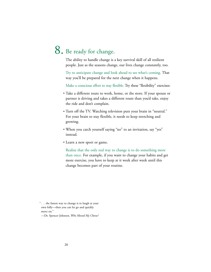## Be ready for change. 8.

The ability to handle change is a key survival skill of all resilient people. Just as the seasons change, our lives change constantly, too.

Try to anticipate change and look ahead to see what's coming. That way you'll be prepared for the next change when it happens.

Make a conscious effort to stay flexible. Try these "flexibility" exercises:

- Take a different route to work, home, or the store. If your spouse or partner is driving and takes a different route than you'd take, enjoy the ride and don't complain.
- Turn off the TV. Watching television puts your brain in "neutral." For your brain to stay flexible, it needs to keep stretching and growing.
- When you catch yourself saying "no" to an invitation, say "yes" instead.
- Learn a new sport or game.

Realize that the only real way to change is to do something more than once. For example, if you want to change your habits and get more exercise, you have to keep at it week after week until this change becomes part of your routine.

". . . the fastest way to change is to laugh at your own folly—then you can let go and quickly move on."

*—*Dr. Spencer Johnson*, Who Moved My Cheese?*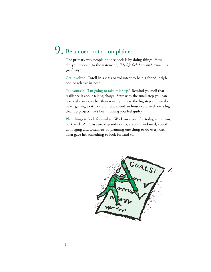## 9. Be a doer, not a complainer.

The primary way people bounce back is by doing things. How did you respond to the statement, *"My life feels busy and active in a good way"*?

Get involved. Enroll in a class or volunteer to help a friend, neighbor, or relative in need.

Tell yourself, "I'm going to take this step." Remind yourself that resilience is about taking charge. Start with the small step you can take right away, rather than waiting to take the big step and maybe never getting to it. For example, spend an hour every week on a big cleanup project that's been making you feel guilty.

Plan things to look forward to. Work on a plan for today, tomorrow, next week. An 80-year-old grandmother, recently widowed, coped with aging and loneliness by planning one thing to do every day. That gave her something to look forward to.

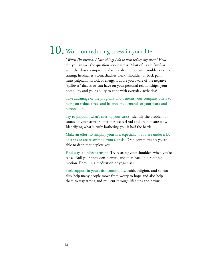## Work on reducing stress in your life. 10.

*"When I'm stressed, I have things I do to help reduce my stress."* How did you answer the question about stress? Most of us are familiar with the classic symptoms of stress: sleep problems; trouble concentrating; headaches, stomachaches, neck, shoulder, or back pain; heart palpitations; lack of energy. But are you aware of the negative "spillover" that stress can have on your personal relationships, your home life, and your ability to cope with everyday activities?

Take advantage of the programs and benefits your company offers to help you reduce stress and balance the demands of your work and personal life.

Try to pinpoint what's causing your stress. Identify the problem or source of your stress. Sometimes we feel sad and are not sure why. Identifying what is truly bothering you is half the battle.

Make an effort to simplify your life, especially if you are under a lot of stress or are recovering from a crisis. Drop commitments you're able to drop that deplete you.

Find ways to relieve tension. Try relaxing your shoulders when you're tense. Roll your shoulders forward and then back in a rotating motion. Enroll in a meditation or yoga class.

Seek support in your faith community. Faith, religion, and spirituality help many people move from worry to hope and also help them to stay strong and resilient through life's ups and downs.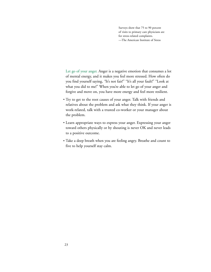Surveys show that 75 to 90 percent of visits to primary care physicians are for stress-related complaints. *—*The American Institute of Stress

Let go of your anger. Anger is a negative emotion that consumes a lot of mental energy, and it makes you feel more stressed. How often do you find yourself saying, *"*It's not fair!" "It's all your fault!" "Look at what you did to me!" When you're able to let go of your anger and forgive and move on, you have more energy and feel more resilient.

- Try to get to the root causes of your anger. Talk with friends and relatives about the problem and ask what they think. If your anger is work-related, talk with a trusted co-worker or your manager about the problem.
- Learn appropriate ways to express your anger. Expressing your anger toward others physically or by shouting is never OK and never leads to a positive outcome.
- Take a deep breath when you are feeling angry. Breathe and count to five to help yourself stay calm.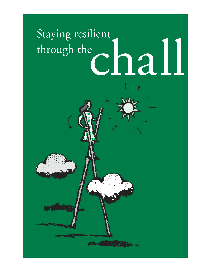# Staying resilient through the chall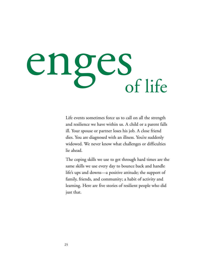# enges of life

Life events sometimes force us to call on all the strength and resilience we have within us. A child or a parent falls ill. Your spouse or partner loses his job. A close friend dies. You are diagnosed with an illness. You're suddenly widowed. We never know what challenges or difficulties lie ahead.

The coping skills we use to get through hard times are the same skills we use every day to bounce back and handle life's ups and downs—a positive attitude; the support of family, friends, and community; a habit of activity and learning. Here are five stories of resilient people who did just that.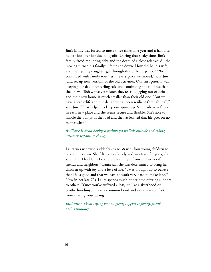Jim's family was forced to move three times in a year and a half after he lost job after job due to layoffs. During that shaky time, Jim's family faced mounting debt and the death of a close relative. All the moving turned his family's life upside down. How did he, his wife, and their young daughter get through this difficult period? "We continued with family routines in every place we moved," says Jim, "and set up new versions of the old activities. Our first priority was keeping our daughter feeling safe and continuing the routines that she knew." Today, five years later, they're still digging out of debt and their new home is much smaller than their old one. "But we have a stable life and our daughter has been resilient through it all," says Jim. "That helped us keep our spirits up. She made new friends in each new place and she seems secure and flexible. She's able to handle the bumps in the road and she has learned that life goes on no matter what."

*Resilience is about having a positive yet realistic attitude and taking action in response to change.* 

Laura was widowed suddenly at age 38 with four young children to raise on her own. She felt terribly lonely and was teary for years, she says. "But I had faith I could draw strength from and wonderful friends and neighbors." Laura says she was determined to bring her children up with joy and a love of life. "I was brought up to believe that life is good and that we have to work very hard to make it so." Now in her late 70s, Laura spends much of her time offering support to others. "Once you've suffered a loss, it's like a sisterhood or brotherhood—you have a common bond and can draw comfort from sharing your caring."

*Resilience is about relying on and giving support to family, friends, and community.*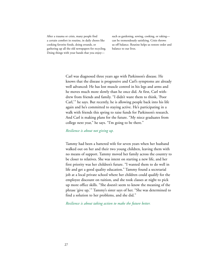After a trauma or crisis, many people find a certain comfort in routine, in daily chores like cooking favorite foods, doing errands, or gathering up all the old newspapers for recycling. Doing things with your hands that you enjoysuch as gardening, sewing, cooking, or raking can be tremendously satisfying. Crisis throws us off balance. Routine helps us restore order and balance to our lives.

Carl was diagnosed three years ago with Parkinson's disease. He knows that the disease is progressive and Carl's symptoms are already well advanced: He has lost muscle control in his legs and arms and he moves much more slowly than he once did. At first, Carl withdrew from friends and family. "I didn't want them to think, 'Poor Carl,'" he says. But recently, he is allowing people back into his life again and he's committed to staying active. He's participating in a walk with friends this spring to raise funds for Parkinson's research. And Carl is making plans for the future. "My niece graduates from college next year," he says. "I'm going to be there."

*Resilience is about not giving up.*

Tammy had been a battered wife for seven years when her husband walked out on her and their two young children, leaving them with no means of support. Tammy moved her family across the country to be closer to relatives. She was intent on starting a new life, and her first priority was her children's future. "I wanted them to do well in life and get a good quality education." Tammy found a secretarial job at a local private school where her children could qualify for the employee discount on tuition, and she took classes at night to pick up more office skills. "She doesn't seem to know the meaning of the phrase 'give up,'" Tammy's sister says of her. "She was determined to find a solution to her problems, and she did."

*Resilience is about taking action to make the future better.*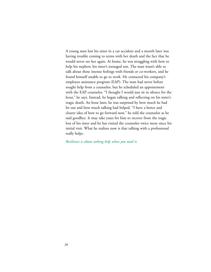A young man lost his sister in a car accident and a month later was having trouble coming to terms with her death and the fact that he would never see her again. At home, he was struggling with how to help his nephew, his sister's teenaged son. The man wasn't able to talk about these intense feelings with friends or co-workers, and he found himself unable to go to work. He contacted his company's employee assistance program (EAP). The man had never before sought help from a counselor, but he scheduled an appointment with the EAP counselor. "I thought I would just sit in silence for the hour," he says. Instead, he began talking and reflecting on his sister's tragic death. An hour later, he was surprised by how much he had let out and how much talking had helped. "I have a better and clearer idea of how to go forward now," he told the counselor as he said goodbye. It may take years for him to recover from the tragic loss of his sister and he has visited the counselor twice more since his initial visit. What he realizes now is that talking with a professional really helps.

#### *Resilience is about seeking help when you need it.*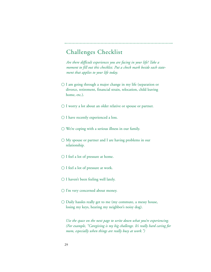#### Challenges Checklist

*Are there difficult experiences you are facing in your life? Take a moment to fill out this checklist. Put a check mark beside each statement that applies to your life today.* 

- $\bigcirc$  I am going through a major change in my life (separation or divorce, retirement, financial strain, relocation, child leaving home, etc.).
- $\bigcirc$  I worry a lot about an older relative or spouse or partner.
- $\bigcirc$  I have recently experienced a loss.
- We're coping with a serious illness in our family.
- $\bigcirc$  My spouse or partner and I are having problems in our relationship.
- $\bigcirc$  I feel a lot of pressure at home.
- $\bigcirc$  I feel a lot of pressure at work.
- $\bigcirc$  I haven't been feeling well lately.
- O I'm very concerned about money.
- Daily hassles really get to me (my commute, a messy house, losing my keys, hearing my neighbor's noisy dog).

*Use the space on the next page to write down what you're experiencing. (For example, "Caregiving is my big challenge. It's really hard caring for mom, especially when things are really busy at work.")*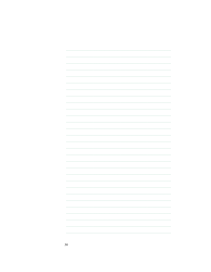| . |
|---|
|   |
|   |
|   |
|   |
|   |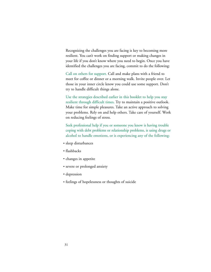Recognizing the challenges you are facing is key to becoming more resilient. You can't work on finding support or making changes in your life if you don't know where you need to begin. Once you have identified the challenges you are facing, commit to do the following:

Call on others for support. Call and make plans with a friend to meet for coffee or dinner or a morning walk. Invite people over. Let those in your inner circle know you could use some support. Don't try to handle difficult things alone.

Use the strategies described earlier in this booklet to help you stay resilient through difficult times. Try to maintain a positive outlook. Make time for simple pleasures. Take an active approach to solving your problems. Rely on and help others. Take care of yourself. Work on reducing feelings of stress.

Seek professional help if you or someone you know is having trouble coping with debt problems or relationship problems, is using drugs or alcohol to handle emotions, or is experiencing any of the following:

- sleep disturbances
- flashbacks
- changes in appetite
- severe or prolonged anxiety
- depression
- feelings of hopelessness or thoughts of suicide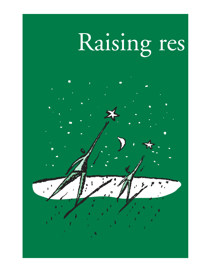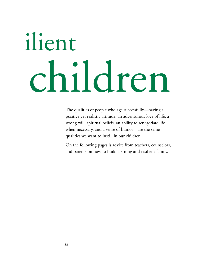# children ilient

The qualities of people who age successfully—having a positive yet realistic attitude, an adventurous love of life, a strong will, spiritual beliefs, an ability to renegotiate life when necessary, and a sense of humor—are the same qualities we want to instill in our children.

On the following pages is advice from teachers, counselors, and parents on how to build a strong and resilient family.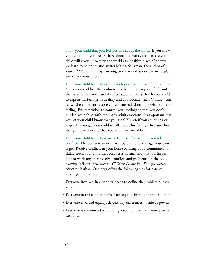Show your child that you feel positive about the world. If you show your child that you feel positive about the world, chances are your child will grow up to view the world as a positive place. One way we learn to be optimistic, writes Martin Seligman, the author of *Learned Optimism*, is by listening to the way that our parents explain everyday events to us.

Help your child learn to express both positive and painful emotions. Show your children that sadness, like happiness, is part of life and that it is human and natural to feel sad and to cry. Teach your child to express his feelings in healthy and appropriate ways. Children can sense when a parent is upset. If you are sad, don't hide what you are feeling. But remember to control your feelings so that you don't burden your child with too many adult emotions. It's important that you let your child know that you are OK even if you are crying or angry. Encourage your child to talk about his feelings. Reassure him that you love him and that you will take care of him.

Help your child learn to manage feelings of anger and to resolve conflicts. The best way to do that is by example. Manage your own anger. Resolve conflicts in your home by using good communication skills. Teach your child that conflict is normal and that it is important to work together to solve conflicts and problems. In the book *Making it Better: Activities for Children Living in a Stressful World*, educator Barbara Oehlberg offers the following tips for parents. Teach your child that:

- Everyone involved in a conflict needs to define the problem as they see it.
- Everyone in the conflict participates equally in building the solution.
- Everyone is valued equally, despite any differences in title or power.
- Everyone is committed to building a solution that has mutual benefits for all.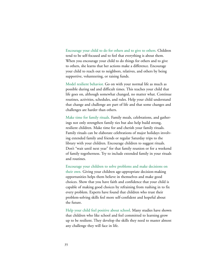Encourage your child to do for others and to give to others. Children tend to be self-focused and to feel that everything is about them. When you encourage your child to do things for others and to give to others, she learns that her actions make a difference. Encourage your child to reach out to neighbors, relatives, and others by being supportive, volunteering, or raising funds.

Model resilient behavior. Go on with your normal life as much as possible during sad and difficult times. This teaches your child that life goes on, although somewhat changed, no matter what. Continue routines, activities, schedules, and rules. Help your child understand that change and challenge are part of life and that some changes and challenges are harder than others.

Make time for family rituals. Family meals, celebrations, and gatherings not only strengthen family ties but also help build strong, resilient children. Make time for and cherish your family rituals. Family rituals can be elaborate celebrations of major holidays involving extended family and friends or regular Saturday trips to the library with your children. Encourage children to suggest rituals. Don't "wait until next year" for that family reunion or for a weekend of family togetherness. Try to include extended family in your rituals and routines.

Encourage your children to solve problems and make decisions on their own. Giving your children age-appropriate decision-making opportunities helps them believe in themselves and make good choices. Show that you have faith and confidence that your child is capable of making good choices by refraining from rushing in to fix every problem. Experts have found that children who trust their problem-solving skills feel more self-confident and hopeful about the future.

Help your child feel positive about school. Many studies have shown that children who like school and feel committed to learning grow up to be resilient. They develop the skills they need to master almost any challenge they will face in life.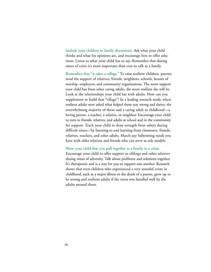Include your children in family discussions. Ask what your child thinks and what his opinions are, and encourage him to offer solutions. Listen to what your child has to say. Remember that during times of crisis it's more important than ever to talk as a family.

Remember that "it takes a village." To raise resilient children, parents need the support of relatives, friends, neighbors, schools, houses of worship, employers, and community organizations. The more support your child has from other caring adults, the more resilient she will be. Look at the relationships your child has with adults. How can you supplement or build that "village"? In a leading research study, when resilient adults were asked what helped them stay strong and thrive, the overwhelming majority of them said a caring adult in childhood—a loving parent, a teacher, a relative, or neighbor. Encourage your child to turn to friends, relatives, and adults at school and in the community for support. Teach your child to draw strength from others during difficult times—by listening to and learning from classmates, friends, relatives, teachers, and other adults. Match any babysitting needs you have with older relatives and friends who can serve as role models.

#### Show your child that you pull together as a family in a crisis.

Encourage your child to offer support to siblings and other relatives during times of adversity. Talk about problems and solutions together. It's therapeutic and is a way for you to support one another. Research shows that even children who experienced a very stressful event in childhood, such as a major illness or the death of a parent, grew up to be strong and resilient adults if the stress was handled well by the adults around them.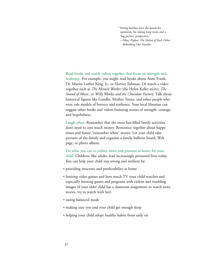"Strong families have the knack for optimism, for taking long views and a 'big picture' perspective." *—*Mary Pipher*, The Shelter of Each Other: Rebuilding Our Families*

Read books and watch videos together that focus on strength and resilience. For example, you might read books about Anne Frank, Dr. Martin Luther King, Jr., or Harriet Tubman. Or watch a video together such as *The Miracle Worker* (the Helen Keller story), *The Sound of Music*, or *Willy Wonka and the Chocolate Factory*. Talk about historical figures like Gandhi, Mother Teresa, and other people who were role models of bravery and resilience. Your local librarian can suggest other books and videos featuring stories of strength, courage, and hopefulness.

Laugh often. Remember that the most fun-filled family activities don't need to cost much money. Reminisce together about happy times and funny "remember when" stories. Let your child take pictures of the family and organize a family bulletin board, Web page, or photo album.

Do what you can to reduce stress and pressure at home for your child. Children, like adults, lead increasingly pressured lives today. You can help your child stay strong and resilient by:

- providing structure and predictability at home
- limiting video games and how much TV your child watches and especially limiting games and programs with violent and troubling images (if your older child has a classroom assignment to watch news stories, try to watch with her)
- eating balanced meals
- making sure you and your child get enough sleep
- helping your child adopt healthy habits from early on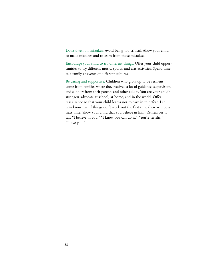Don't dwell on mistakes. Avoid being too critical. Allow your child to make mistakes and to learn from those mistakes.

Encourage your child to try different things. Offer your child opportunities to try different music, sports, and arts activities. Spend time as a family at events of different cultures.

Be caring and supportive. Children who grow up to be resilient come from families where they received a lot of guidance, supervision, and support from their parents and other adults. You are your child's strongest advocate at school, at home, and in the world. Offer reassurance so that your child learns not to cave in to defeat. Let him know that if things don't work out the first time there will be a next time. Show your child that you believe in him. Remember to say, "I believe in you." "I know you can do it." "You're terrific." "I love you."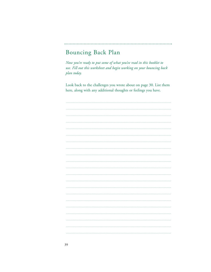#### Bouncing Back Plan

Now you're ready to put some of what you've read in this booklet to use. Fill out this worksheet and begin working on your bouncing back plan today.

Look back to the challenges you wrote about on page 30. List them here, along with any additional thoughts or feelings you have.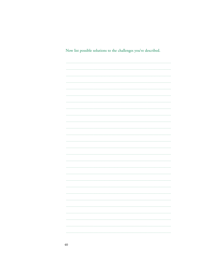Now list possible solutions to the challenges you've described.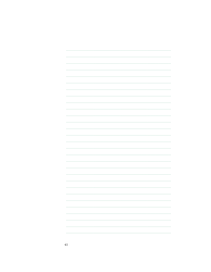| . |
|---|
|   |
|   |
|   |
|   |
|   |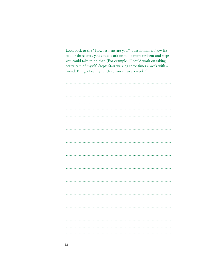Look back to the "How resilient are you?" questionnaire. Now list two or three areas you could work on to be more resilient and steps you could take to do that. (For example, "I could work on taking better care of myself. Steps: Start walking three times a week with a friend. Bring a healthy lunch to work twice a week.")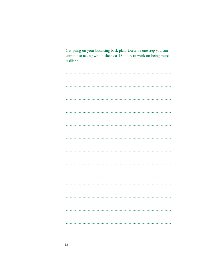Get going on your bouncing back plan! Describe one step you can commit to taking within the next 48 hours to work on being more resilient.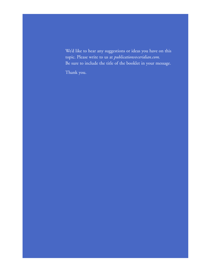We'd like to hear any suggestions or ideas you have on this topic. Please write to us at *publications@ceridian.com.* Be sure to include the title of the booklet in your message.

Thank you.